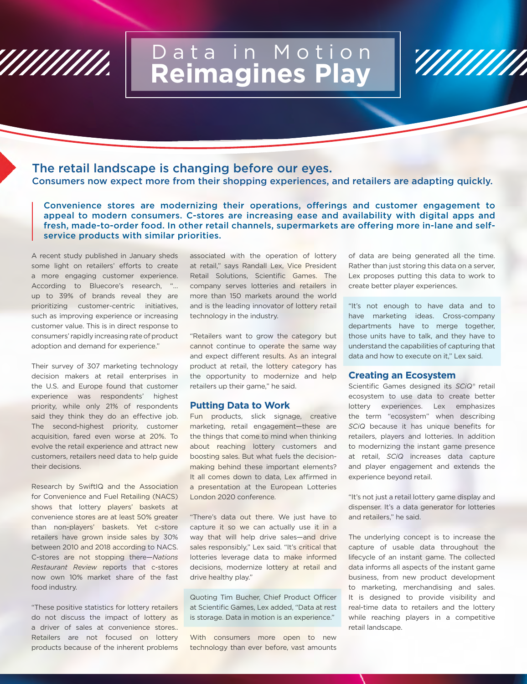

# Data in Motion **Reimagines Play**

## The retail landscape is changing before our eyes. Consumers now expect more from their shopping experiences, and retailers are adapting quickly.

Convenience stores are modernizing their operations, offerings and customer engagement to appeal to modern consumers. C-stores are increasing ease and availability with digital apps and fresh, made-to-order food. In other retail channels, supermarkets are offering more in-lane and selfservice products with similar priorities.

A recent study published in January sheds some light on retailers' efforts to create a more engaging customer experience. According to Bluecore's research, "… up to 39% of brands reveal they are prioritizing customer-centric initiatives, such as improving experience or increasing customer value. This is in direct response to consumers' rapidly increasing rate of product adoption and demand for experience."

Their survey of 307 marketing technology decision makers at retail enterprises in the U.S. and Europe found that customer experience was respondents' highest priority, while only 21% of respondents said they think they do an effective job. The second-highest priority, customer acquisition, fared even worse at 20%. To evolve the retail experience and attract new customers, retailers need data to help guide their decisions.

Research by SwiftIQ and the Association for Convenience and Fuel Retailing (NACS) shows that lottery players' baskets at convenience stores are at least 50% greater than non-players' baskets. Yet c-store retailers have grown inside sales by 30% between 2010 and 2018 according to NACS. C-stores are not stopping there—*Nations Restaurant Review* reports that c-stores now own 10% market share of the fast food industry.

"These positive statistics for lottery retailers do not discuss the impact of lottery as a driver of sales at convenience stores.. Retailers are not focused on lottery products because of the inherent problems associated with the operation of lottery at retail," says Randall Lex, Vice President Retail Solutions, Scientific Games. The company serves lotteries and retailers in more than 150 markets around the world and is the leading innovator of lottery retail technology in the industry.

"Retailers want to grow the category but cannot continue to operate the same way and expect different results. As an integral product at retail, the lottery category has the opportunity to modernize and help retailers up their game," he said.

### **Putting Data to Work**

Fun products, slick signage, creative marketing, retail engagement—these are the things that come to mind when thinking about reaching lottery customers and boosting sales. But what fuels the decisionmaking behind these important elements? It all comes down to data, Lex affirmed in a presentation at the European Lotteries London 2020 conference.

"There's data out there. We just have to capture it so we can actually use it in a way that will help drive sales—and drive sales responsibly," Lex said. "It's critical that lotteries leverage data to make informed decisions, modernize lottery at retail and drive healthy play."

Quoting Tim Bucher, Chief Product Officer at Scientific Games, Lex added, "Data at rest is storage. Data in motion is an experience."

With consumers more open to new technology than ever before, vast amounts of data are being generated all the time. Rather than just storing this data on a server, Lex proposes putting this data to work to create better player experiences.

'///////////

"It's not enough to have data and to have marketing ideas. Cross-company departments have to merge together, those units have to talk, and they have to understand the capabilities of capturing that data and how to execute on it," Lex said.

#### **Creating an Ecosystem**

Scientific Games designed its *SCiQ®* retail ecosystem to use data to create better lottery experiences. Lex emphasizes the term "ecosystem" when describing *SCiQ* because it has unique benefits for retailers, players and lotteries. In addition to modernizing the instant game presence at retail, *SCiQ* increases data capture and player engagement and extends the experience beyond retail.

"It's not just a retail lottery game display and dispenser. It's a data generator for lotteries and retailers," he said.

The underlying concept is to increase the capture of usable data throughout the lifecycle of an instant game. The collected data informs all aspects of the instant game business, from new product development to marketing, merchandising and sales. It is designed to provide visibility and real-time data to retailers and the lottery while reaching players in a competitive retail landscape.